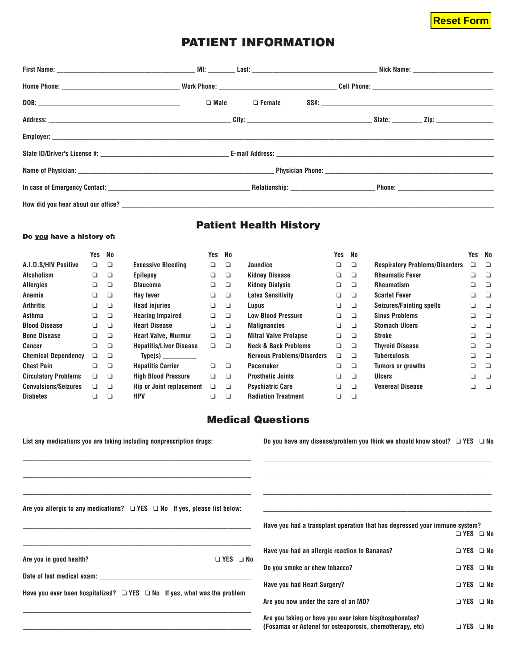# **Reset Form**

**Yes No**

# **PATIENT INFORMATION**

|  | $\Box$ Male $\Box$ Female | SS#: |  |
|--|---------------------------|------|--|
|  |                           |      |  |
|  |                           |      |  |
|  |                           |      |  |
|  |                           |      |  |
|  |                           |      |  |
|  |                           |      |  |

## **Patient Health History**

#### **Do you have a history of:**

|                             | Yes    | No     |                                | Yes | No     |                                   | Yes | No |                                       | Yes | No |
|-----------------------------|--------|--------|--------------------------------|-----|--------|-----------------------------------|-----|----|---------------------------------------|-----|----|
| A.I.D.S/HIV Positive        | $\Box$ | ❏      | <b>Excessive Bleeding</b>      | ❏   | ❏      | Jaundice                          | ❏   | ❏  | <b>Respiratory Problems/Disorders</b> | a.  | П  |
| <b>Alcoholism</b>           | ▫      | □      | <b>Epilepsy</b>                | Q.  | ❏      | <b>Kidney Disease</b>             | ❏   | ❏  | <b>Rheumatic Fever</b>                | a.  | □  |
| <b>Allergies</b>            | □      | □      | Glaucoma                       | ❏   | $\Box$ | <b>Kidney Dialysis</b>            | ❏   | ❏  | <b>Rheumatism</b>                     | Q.  | □  |
| Anemia                      | ❏      | ❏      | Hay fever                      | o.  | ❏      | <b>Latex Sensitivity</b>          | ❏   | ❏  | <b>Scarlet Fever</b>                  | a.  | Ð  |
| <b>Arthritis</b>            | ◻      | ❏      | <b>Head injuries</b>           | o.  | $\Box$ | Lupus                             | ❏   | ❏  | Seizures/Fainting spells              | וב  | □  |
| Asthma                      | □      | ❏      | <b>Hearing Impaired</b>        | ❏   | ▫      | <b>Low Blood Pressure</b>         | ❏   | □  | <b>Sinus Problems</b>                 | a.  | □  |
| <b>Blood Disease</b>        | ▫      | ❏      | <b>Heart Disease</b>           | ❏   | $\Box$ | <b>Malignancies</b>               | ❏   | □  | <b>Stomach Ulcers</b>                 | Q.  | □  |
| <b>Bone Disease</b>         | □      | $\Box$ | <b>Heart Valve, Murmur</b>     | o.  | $\Box$ | <b>Mitral Valve Prolapse</b>      | ❏   | ❏  | Stroke                                | o.  | □  |
| Cancer                      | ▫      | ❏      | <b>Hepatitis/Liver Disease</b> | □   | $\Box$ | <b>Neck &amp; Back Problems</b>   | ❏   | ❏  | <b>Thyroid Disease</b>                | a.  | Ð  |
| <b>Chemical Dependency</b>  | □      | □      | Type(s)                        |     |        | <b>Nervous Problems/Disorders</b> | ❏   | ❏  | <b>Tuberculosis</b>                   | ❏   |    |
| <b>Chest Pain</b>           | □      | $\Box$ | <b>Hepatitis Carrier</b>       | o.  | □      | Pacemaker                         | ❏   | ❏  | <b>Tumors or growths</b>              | Q.  |    |
| <b>Circulatory Problems</b> | □      | ❏      | <b>High Blood Pressure</b>     | ◻   | □      | <b>Prosthetic Joints</b>          | ❏   | ❏  | <b>Ulcers</b>                         | ❏   |    |
| <b>Convulsions/Seizures</b> | ▫      | ❏      | Hip or Joint replacement       | ▫   | $\Box$ | <b>Psychiatric Care</b>           | ❏   | ❏  | <b>Venereal Disease</b>               | ℶ   |    |
| <b>Diabetes</b>             | ❏      | □      | <b>HPV</b>                     |     | ❏      | <b>Radiation Treatment</b>        | Q   | ❏  |                                       |     |    |

## **Medical Questions**

| List any medications you are taking including nonprescription drugs:                                                                                                                                                                                                                                                 | Do you have any disease/problem you think we should know about? $\Box$ YES $\Box$ No                               |                      |  |
|----------------------------------------------------------------------------------------------------------------------------------------------------------------------------------------------------------------------------------------------------------------------------------------------------------------------|--------------------------------------------------------------------------------------------------------------------|----------------------|--|
|                                                                                                                                                                                                                                                                                                                      |                                                                                                                    |                      |  |
| Are you allergic to any medications? $\Box$ YES $\Box$ No If yes, please list below:                                                                                                                                                                                                                                 |                                                                                                                    |                      |  |
|                                                                                                                                                                                                                                                                                                                      | Have you had a transplant operation that has depressed your immune system?                                         | $\Box$ YES $\Box$ No |  |
| Are you in good health?<br>□ YES □ No                                                                                                                                                                                                                                                                                | Have you had an allergic reaction to Bananas?                                                                      | □ YES □ No           |  |
|                                                                                                                                                                                                                                                                                                                      | Do you smoke or chew tobacco?                                                                                      | $\Box$ YES $\Box$ No |  |
| Date of last medical exam: example and a series of the series of the series of the series of the series of the series of the series of the series of the series of the series of the series of the series of the series of the<br>Have you ever been hospitalized? $\Box$ YES $\Box$ No If yes, what was the problem | <b>Have you had Heart Surgery?</b>                                                                                 | □ YES □ No           |  |
|                                                                                                                                                                                                                                                                                                                      | Are you now under the care of an MD?                                                                               | □ YES □ No           |  |
|                                                                                                                                                                                                                                                                                                                      | Are you taking or have you ever taken bisphosphonates?<br>(Fosamax or Actonel for osteoporosis, chemotherapy, etc) | □ YES □ No           |  |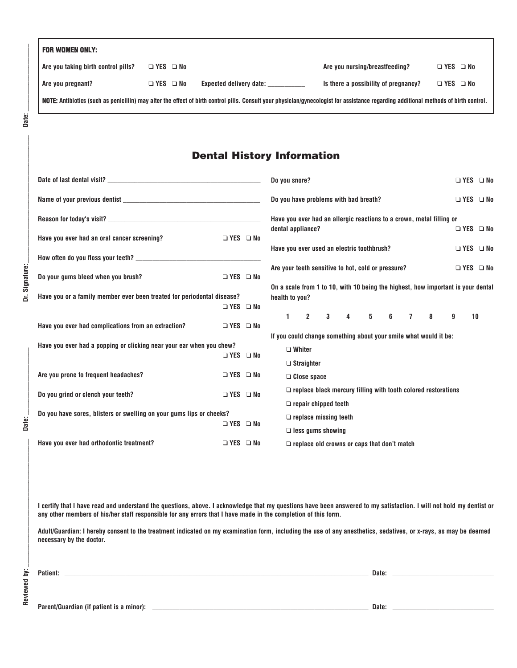| <b>FOR WOMEN ONLY:</b>              |                      |                                                                                                                                                                                      |                                      |                      |  |
|-------------------------------------|----------------------|--------------------------------------------------------------------------------------------------------------------------------------------------------------------------------------|--------------------------------------|----------------------|--|
| Are you taking birth control pills? | $\Box$ YES $\Box$ No |                                                                                                                                                                                      | Are you nursing/breastfeeding?       | $\Box$ YES $\Box$ No |  |
| Are you pregnant?                   | $\Box$ YES $\Box$ No | <b>Expected delivery date:</b>                                                                                                                                                       | Is there a possibility of pregnancy? | $\Box$ YES $\Box$ No |  |
|                                     |                      | NOTE: Antibiotics (such as penicillin) may alter the effect of birth control pills. Consult your physician/qynecologist for assistance regarding additional methods of birth control |                                      |                      |  |

Dr. Signature:

Date:

### **Dental History Information**

|                                                                        |                      |                              | Do you snore?<br>$\Box$ YES $\Box$ No                                                              |
|------------------------------------------------------------------------|----------------------|------------------------------|----------------------------------------------------------------------------------------------------|
|                                                                        |                      |                              | Do you have problems with bad breath?<br>□ YES □ No                                                |
| Reason for today's visit?                                              |                      |                              | Have you ever had an allergic reactions to a crown, metal filling or                               |
| Have you ever had an oral cancer screening?                            | $\Box$ YES $\Box$ No |                              | dental appliance?<br>$\Box$ YES $\Box$ No                                                          |
|                                                                        |                      |                              | Have you ever used an electric toothbrush?<br>$\Box$ YES $\Box$ No                                 |
|                                                                        |                      |                              | Are your teeth sensitive to hot, cold or pressure?<br>$\Box$ YES $\Box$ No                         |
| Do your gums bleed when you brush?                                     | □ YES □ No           |                              |                                                                                                    |
| Have you or a family member ever been treated for periodontal disease? |                      |                              | On a scale from 1 to 10, with 10 being the highest, how important is your dental<br>health to you? |
|                                                                        | $\Box$ YES $\Box$ No |                              |                                                                                                    |
| Have you ever had complications from an extraction?                    | $\Box$ YES $\Box$ No |                              | 3 4 5 6 7<br>$1 \t2$<br>-8<br>$\mathbf{g}$<br>10                                                   |
| Have you ever had a popping or clicking near your ear when you chew?   |                      |                              | If you could change something about your smile what would it be:                                   |
|                                                                        | □ YES □ No           |                              | $\Box$ Whiter                                                                                      |
|                                                                        |                      |                              | $\Box$ Straighter                                                                                  |
| Are you prone to frequent headaches?                                   | $\Box$ YES $\Box$ No |                              | $\Box$ Close space                                                                                 |
| Do you grind or clench your teeth?                                     | □ YES □ No           |                              | $\Box$ replace black mercury filling with tooth colored restorations                               |
|                                                                        |                      |                              | $\Box$ repair chipped teeth                                                                        |
| Do you have sores, blisters or swelling on your gums lips or cheeks?   |                      | $\Box$ replace missing teeth |                                                                                                    |
|                                                                        | $\Box$ YES $\Box$ No |                              | $\Box$ less gums showing                                                                           |
| Have you ever had orthodontic treatment?                               | □ YES □ No           |                              | $\Box$ replace old crowns or caps that don't match                                                 |

**I certify that I have read and understand the questions, above. I acknowledge that my questions have been answered to my satisfaction. I will not hold my dentist or any other members of his/her staff responsible for any errors that I have made in the completion of this form.**

**Adult/Guardian: I hereby consent to the treatment indicated on my examination form, including the use of any anesthetics, sedatives, or x-rays, as may be deemed necessary by the doctor.**

**Patient: \_\_\_\_\_\_\_\_\_\_\_\_\_\_\_\_\_\_\_\_\_\_\_\_\_\_\_\_\_\_\_\_\_\_\_\_\_\_\_\_\_\_\_\_\_\_\_\_\_\_\_\_\_\_\_\_\_\_\_\_\_\_\_\_\_\_\_\_\_\_\_\_\_\_\_\_\_\_\_\_\_\_\_\_\_\_\_\_\_\_ Date: \_\_\_\_\_\_\_\_\_\_\_\_\_\_\_\_\_\_\_\_\_\_\_\_\_\_\_\_\_\_**

**Parent/Guardian (if patient is a minor): \_\_\_\_\_\_\_\_\_\_\_\_\_\_\_\_\_\_\_\_\_\_\_\_\_\_\_\_\_\_\_\_\_\_\_\_\_\_\_\_\_\_\_\_\_\_\_\_\_\_\_\_\_\_\_\_\_\_\_\_\_\_\_\_ Date: \_\_\_\_\_\_\_\_\_\_\_\_\_\_\_\_\_\_\_\_\_\_\_\_\_\_\_\_\_\_**